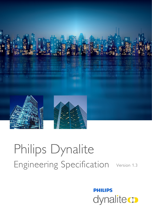

# Philips Dynalite Engineering Specification Version 1.3

**PHILIPS** dynalitecn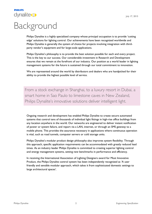#### July 17, 2015

## **PHILIPS** dynalite **or**

## Background

Philips Dynalite is a highly specialized company whose principal occupation is to provide 'cutting edge' solutions for lighting control. Our achievements have been recognized worldwide and Philips Dynalite is generally the system of choice for projects involving integration with thirdparty vendor's equipment and for large-scale applications.

Philips Dynalite's philosophy is to provide the best solution possible for each and every project. This is the key to our success. Our considerable investment in Research and Development ensures that we remain at the forefront of our industry. Our position as a world leader in lighting management systems for the future is sustained through our total commitment to innovation.

We are represented around the world by distributors and dealers who are handpicked for their ability to provide the highest possible level of service.

From a stock exchange in Shanghai, to a luxury resort in Dubai, a smart home in Sao Paulo to limestone caves in New Zealand, Philips Dynalite's innovative solutions deliver intelligent light.

Ongoing research and development has enabled Philips Dynalite to create secure automated systems that control tens of thousands of individual light fittings in high-rise office buildings from any location anywhere in the world. Our networks are engineered to deliver instant notification of power or system failure, and report via a LAN, internet, or through an SMS gateway to a mobile phone. This provides the assurance necessary in applications where continuous operation is vital, such as road tunnels, computer servers or cold storage units.

Philips Dynalite's modular product design philosophy also improves system flexibility. Through this approach, specific application requirements can be accommodated with greatly reduced lead times. As an industry leader Philips Dynalite is committed to creating superior lighting control and energy management systems, setting new benchmarks in performance and efficiency.

In receiving the International Association of Lighting Designers award for Most Innovative Product, the Philips Dynalite control system has been independently recognized as 'A user friendly and sensible modular approach, which takes it from sophisticated domestic settings to large architectural spaces'.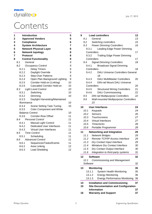## **PHILIPS** dynalitect

## Contents

| 1 |                               | <b>Introduction</b>              | 5  |
|---|-------------------------------|----------------------------------|----|
| 2 | <b>Approved Vendors</b>       |                                  |    |
| 3 | <b>Compliance</b>             |                                  |    |
| 4 | <b>System Architecture</b>    |                                  |    |
| 5 | <b>Network Physical Layer</b> |                                  |    |
| 6 | <b>Network topology</b>       |                                  |    |
| 7 | <b>Protocol</b>               |                                  |    |
| 8 |                               | <b>Control Functionality</b>     | 9  |
|   | 8.1                           | General                          | 9  |
|   | 8.2                           | Occupancy Control                | 9  |
|   | 8.2.1                         | <b>Delay Timers</b>              | 9  |
|   | 8.2.2                         | Daylight Override                | 9  |
|   | 8.2.3                         | <b>Step-Over Patterns</b>        | 9  |
|   | 8.2.4                         | Open Plan Background Lighting    | 9  |
|   | 8.2.5                         | Corridor Hold-on (Linking)       | 10 |
|   | 8.2.6                         | Cascaded Corridor Hold-on        | 10 |
|   | 8.3                           | <b>Light Level Control</b>       | 10 |
|   | 8.3.1                         | Switching                        | 10 |
|   | 8.3.2                         | Dimming                          | 10 |
|   | 8.3.3                         | Daylight Harvesting/Maintained   |    |
|   | Illuminance                   |                                  | 10 |
|   | 8.3.4                         | <b>Scene Setting Task Tuning</b> | 10 |
|   | 8.3.5                         | <b>Color Component and White</b> |    |
|   |                               | <b>Balance Control</b>           | 10 |
|   | 8.3.6                         | <b>Corridor-Row Offset</b>       | 11 |
|   | 8.4                           | <b>Personal Control</b>          | 11 |
|   | 8.4.1                         | <b>Manual Light Control</b>      | 11 |
|   | 8.4.2                         | <b>Dedicated User Interfaces</b> | 11 |
|   | 8.4.3                         | <b>Virtual User Interfaces</b>   | 11 |
|   | 8.5                           | <b>Time Control</b>              | 11 |
|   | 8.5.1                         | Scheduling                       | 11 |
|   | 8.6                           | <b>Advanced Control</b>          | 11 |
|   | 8.6.1                         | Sequences/Tasks/Events           | 11 |
|   | 8.6.2                         | Area Linking                     | 12 |
|   | 8.6.3                         | <b>Load Shedding</b>             | 12 |

| 9                                       |                                                   | <b>Load controllers</b>                        | 13 |  |
|-----------------------------------------|---------------------------------------------------|------------------------------------------------|----|--|
|                                         | 9.1                                               | General                                        | 13 |  |
|                                         | 9.2                                               | <b>Switching controllers</b>                   | 15 |  |
|                                         | <b>Power Dimming Controllers</b><br>9.3           |                                                |    |  |
|                                         | Leading Edge Power Dimming<br>9.3.1               |                                                |    |  |
|                                         |                                                   | Controllers                                    | 17 |  |
|                                         | 9.3.2                                             | <b>Trailing Edge Power Dimming</b>             |    |  |
|                                         |                                                   | Controllers                                    | 17 |  |
|                                         | 9.4                                               | <b>Signal Dimming Controllers</b>              | 18 |  |
|                                         | 9.4.1                                             | <b>Broadcast Signal Dimming</b>                |    |  |
|                                         |                                                   | Controllers                                    | 18 |  |
|                                         | 9.4.2                                             | <b>DALI Universe Controllers General</b><br>18 |    |  |
|                                         | 9.4.3                                             | <b>DALI MultiMaster Controllers</b>            | 20 |  |
|                                         | 9.4.4                                             | <b>DIN-rail Mount DALI Universe</b>            |    |  |
|                                         |                                                   | Controllers                                    | 20 |  |
|                                         | 9.4.5                                             | <b>Structured Wiring Controllers</b>           | 21 |  |
|                                         | 9.4.6                                             | <b>DALI Commissioning</b>                      | 22 |  |
|                                         | 9.5                                               | <b>DIN rail Multipurpose Controllers</b>       | 22 |  |
|                                         | 9.6                                               | <b>Wall-mounted Multipurpose Controllers</b>   |    |  |
|                                         |                                                   | 23                                             |    |  |
| 10                                      |                                                   | <b>User Interfaces</b>                         | 24 |  |
|                                         | 10.1                                              | Keypads                                        | 24 |  |
|                                         | 10.2                                              | Sensors                                        | 26 |  |
|                                         | 10.3                                              | Touchscreens                                   | 27 |  |
|                                         | 10.4                                              | Virtual Interfaces                             | 27 |  |
|                                         | 10.5                                              | <b>Timeclocks</b>                              | 28 |  |
|                                         | 10.6                                              | Portable Programmer                            | 28 |  |
| 11<br><b>Networking and Integration</b> |                                                   |                                                |    |  |
|                                         | 11.1                                              | <b>Network Bridges</b>                         | 29 |  |
|                                         | 11.2                                              | Remote TCP/IP Access Interface                 | 29 |  |
|                                         | 11.3                                              | Dry Contact Input Interface                    | 29 |  |
|                                         | 11.4                                              | Miniature Dry Contact Interface                | 30 |  |
|                                         | 11.5                                              | Dry Contact Output Interface                   | 30 |  |
|                                         | 11.6                                              | Integration to third-party systems             | 31 |  |
| 12                                      |                                                   | <b>Software</b>                                | 32 |  |
|                                         | 12.1                                              | <b>Commissioning and Management</b>            |    |  |
|                                         | Software                                          |                                                | 32 |  |
| 13                                      |                                                   | <b>Monitoring</b>                              | 35 |  |
|                                         | 13.1.1                                            | <b>System Health Monitoring</b>                | 35 |  |
|                                         | 13.1.2                                            | <b>Energy Monitoring</b>                       | 36 |  |
|                                         | 13.1.3                                            | <b>Energy Performance Monitoring</b>           | 36 |  |
| 14                                      |                                                   | <b>Installation and Commissioning</b>          | 37 |  |
|                                         | <b>Site Documentation and Configuration</b><br>15 |                                                |    |  |
|                                         |                                                   | <b>Information</b>                             | 37 |  |

**16 [Warranty and Support](#page-36-2) 37**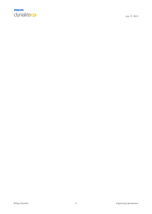

July 17, 2015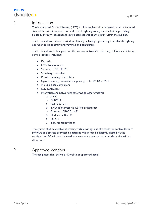### <span id="page-4-0"></span>1 Introduction

The Networked Control System, (NCS) shall be an Australian designed and manufactured, state of the art micro-processor addressable lighting management solution, providing flexibility through independent, distributed control of any circuit within the building.

The NCS shall use advanced windows based graphical programming to enable the lighting operation to be centrally programmed and configured.

The NCS shall natively support on the 'control network' a wide range of load and interface control devices, including;

- Keypads
- LCD Touchscreens
- Sensors … PIR, US, PE
- Switching controllers
- Power Dimming Controllers
- Signal Dimming Controller supporting ... 1-10V, DSI, DALI
- Multipurpose controllers
- **LED** controllers
- Integration and networking gateways to other systems:
	- o KNX
	- o DMX512
	- o LON interface
	- o BACnet interface via RS-485 or Ethernet
	- o Ethernet 10/100 Base T
	- o Modbus via RS-485
	- o RS-232
	- o Infra-red transmission

The system shall be capable of creating virtual wiring links of circuits for control through software and presets or switching patterns, which may be instantly altered via the configuration PC without the need to access equipment or carry out disruptive wiring alterations.

## <span id="page-4-1"></span>2 Approved Vendors

The equipment shall be Philips Dynalite or approved equal.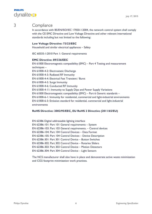## <span id="page-5-0"></span>3 Compliance

In accordance with BS/EN/ISO/IEC 17050-1:2004, the network control system shall comply with the CE EMC Directive and Low Voltage Directive and other relevant international standards including but not limited to the following:

#### **Low Voltage Directive: 73/23/EEC**

Household and similar electrical appliances – Safety

IEC 60335-1:2010 Part 1: General requirements

#### **EMC Directive: 89/336/EEC**

EN 61000 Electromagnetic compatibility (EMC) – Part 4 Testing and measurement techniques – EN 61000-4-2: Electrostatic Discharge EN 61000-4-3: Radiated RF Immunity EN 61000-4-4: Electrical Fast Transient / Burst EN 61000-4-5: Surge Immunity EN 61000-4-6: Conducted RF Immunity EN 61000-4-11: Immunity to Supply Dips and Power Supply Variations EN 61000 Electromagnetic compatibility (EMC) – Part 6 Generic standards – EN 61000-6-1: Immunity for residential, commercial and light-industrial environments EN 61000-6-3: Emission standard for residential, commercial and light-industrial environments

#### **RoHS Directive: 2002/95/EEC, EU RoHS 2 Directive (2011/65/EU)**

EN 62386 Digital addressable lighting interface EN 62386-101: Part 101 General requirements – System EN 62386-103: Part 103 General requirements. – Control devices EN 62386-104: Part 104 Control Devices – Data Format EN 62386-105: Part 104 Control Devices – Device Description EN 62386-301: Part 301 Control Device – Button Switches EN 62386-302: Part 302 Control Device – Rotaries Sliders EN 62386-303: Part 303 Control Device – Motion Detectors EN 62386-304: Part 304 Control Device – Light Sensors

The NCS manufacturer shall also have in place and demonstrate active waste minimization and CO2 footprint minimization work practices.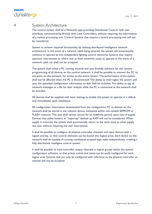## <span id="page-6-0"></span>4 System Architecture

The control system shall be a Network type providing Distributed Control, with user interfaces communicating directly with Load Controllers, without requiring the intervention of a central processing unit. Control Systems that require a central processing unit will not be considered.

System to achieve required functionality by utilizing distributed intelligence network architecture. In the event of a network cable being severed, the system will automatically continue to operate as two independent lighting control networks. Systems that require operator intervention or where one or both networks cease to operate in the event of a network cable cut shall not be accepted.

The system shall utilize a PC running intuitive and user-friendly software for the remote programming of all devices on the control network. It shall be possible to connect the PC to any point on the network, for access to the entire system. The performance of the system shall not be affected when the PC is disconnected. The ability to interrogate the system and save the uploaded configuration information to disk shall be included. The ability to log all network messages to a file for later analysis while the PC is connected to the network shall be included.

All devices shall be supplied with basic settings to enable the system to operate in a default way immediately upon installation.

All configuration information downloaded from the configuration PC to devices on the network shall be stored in the relevant device, contained within non-volatile EEPROM or FLASH memory. This data shall remain secure for an indefinite period, upon loss of supply. Devices that utilize battery or "supercap" backed up RAM will not be considered. When supply is restored, the system shall automatically return to the same state as when supply was lost, without requiring any user intervention.

It shall be possible to configure all physical controller channels and input devices with a logical overlay, so that control elements can be bound into logical areas. Each device on the network shall be capable of running conditional scripted logic tasks independently, creating a fully distributed, intelligent control system.

It shall be possible to view controller output channels in logical groups within the system configuration software, so that preset scenes and states can be easily configured for each logical area. Systems that can only be configured with reference to the physical controller or channel will not be accepted.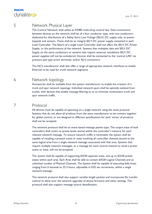#### July 17, 2015

## **PHILIPS** dynalite **or**

## <span id="page-7-0"></span>5 Network Physical Layer

The Control Network shall utilize an RS485 multi-drop control bus. Data connections between devices on the network shall be of a four conductor type, with two conductors dedicated for distribution of a Safety Extra Low Voltage (SELV) DC supply only, to power keypads and sensors. There shall be an integral SELV DC power supply contained in each Load Controller. The failure of a single Load Controller shall not affect the SELV DC Power Supply, or the performance of the network. Systems that multiplex data and SELV DC Supply on the same conductors or systems that require external, standalone SELV DC power supplies will not be considered. Devices shall be connected to the 'control LAN' via pressure pad type screw terminals, and/or RJ12 connectors.

The NCS manufacturer shall also offer a range of appropriate network interfaces to enable Ethernet to be used for trunk network segments.

## <span id="page-7-1"></span>6 Network topology

Accessories shall be available from the system manufacturer to enable the creation of a trunk and spur network topology. Individual network spurs shall be optically isolated from trunks, with devices that enable message filtering so as to minimize unnecessary trunk and spur network traffic.

## <span id="page-7-2"></span>7 Protocol

All devices must be capable of operating on a single network using the same protocol. Systems that do not allow all products from the same manufacturer to be connect together for global control, or are designed to different specifications for each 'series' of products shall not be accepted.

The network protocol shall be an event based message packet type. The output state of load controllers shall revert to preset levels stored within the controller's memory for each relevant network message. To ensure network traffic is minimized, the system shall be capable of recalling a present scene or state involving all controller channels bound to the same logical area from a single network message associated with that area. Systems that require multiple network messages, or a message for each control channel to recall a preset scene or state, will not be accepted.

The system shall be capable of supporting 65530 separate areas, and up to 65530 preset states within each area. Each Area shall be able to contain 65530 Logical Channels and an unlimited number of Physical Channels. The System shall be capable of executing fade times ranging from 0 seconds to 23.3 hours, adjustable in 0.02 sec increments, within a single network message.

The network protocol shall also support variable length packets and incorporate file transfer control to allow over the network upgrades of device firmware and other settings. The protocol shall also support message source identification.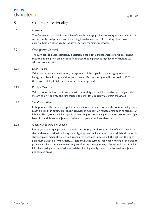

## <span id="page-8-3"></span><span id="page-8-2"></span><span id="page-8-1"></span><span id="page-8-0"></span>8 **Control Functionality** 8.1 General The Control system shall be capable of readily deploying all functionality outlined within this section, with configuration software using intuitive mouse click and drag, drop down dialogue box, or other similar intuitive user programming methods. 8.2 Occupancy Control Through sensor based occupancy detection, enable level management of artificial lighting required at any given time, especially in areas that experience high levels of daylight i.e. adjacent to windows. 8.2.1 Delay Timers When no movement is detected, the system shall be capable of dimming lights to a background level for a grace time period to notify that the lights will soon switch OFF, and then switch all lights OFF after another timeout period. 8.2.2 Daylight Override When motion is detected in an area with natural light it shall be possible to configure the system to only operate the luminaries if the light level is below a certain threshold. 8.2.3 Step-Over Patterns In large open office areas and public areas where areas may overlap, the system shall provide ready flexibility in setting up lighting behavior in adjacent or related areas such as atriums or lobbies. The system shall be capable of activating or maintaining desired or proportional light levels in multiple areas adjacent to where occupancy has been detected. 8.2.4 Open Plan Background Lighting For larger areas equipped with multiple sensors (e.g. modern open plan offices), the system shall activate or maintain a background lighting level while at least one work island/station is still occupied. When the last work island area becomes unoccupied, the lights in the open

<span id="page-8-6"></span><span id="page-8-5"></span><span id="page-8-4"></span>plan must switch off (with a delay). Additionally, the system shall enable tuning of the area to provide a balance between occupancy comfort and energy savings. An example of this is by fully illuminating the occupied areas whilst dimming the light to a standby level in adjacent unoccupied areas.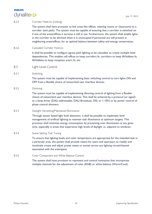- <span id="page-9-0"></span>8.2.5 Corridor Hold-on (Linking) The system shall have provision to link areas like offices, meeting rooms or classrooms to a corridor (exit path). The system must be capable of ensuring that a corridor is switched on if one of the areas/offices it services is still in use. Furthermore, the system shall enable lights in the corridor to be dimmed when it is unoccupied if personnel are still present in neighboring areas/offices, for an optimal balance between safety and energy conservation.
- <span id="page-9-1"></span>8.2.6 Cascaded Corridor Hold-on

It shall be possible to configure egress path lighting to be cascaded, to create multiple level dependencies. This enables cell offices to keep corridors lit, corridors to keep lift/lobbies lit, lift/lobbies to keep reception area's lit, etc.

- <span id="page-9-2"></span>8.3 Light Level Control
- <span id="page-9-3"></span>8.3.1 Switching

The system must be capable of implementing basic switching control to turn lights ON and OFF from a flexible choice of networked user interface devices.

<span id="page-9-4"></span>8.3.2 Dimming

The system must be capable of implementing dimming control of lighting from a flexible choice of networked user interface devices. This shall be achieved by a protocol (or signal) to a lamp driver (DALI addressable, DALI Broadcast, DSI, or 1-10V) or by power control of phase control dimmers.

<span id="page-9-5"></span>8.3.3 Daylight Harvesting/Maintained Illuminance

Through sensor based light level detection, it shall be possible to implement level management of artificial lighting to maintain task illuminance at optimum targets. This provision shall minimize energy consumption by preventing over illumination at any given time, especially in areas that experience high levels of daylight i.e. adjacent to windows.

<span id="page-9-6"></span>8.3.4 Scene Setting Task Tuning

To ensure that lighting levels and color temperature are appropriate for the intended task in a particular area, the system shall provide means for users and operators to readily and intuitively create and adjust preset states or scenes across any lighting circuit/channel associated with the area/space.

<span id="page-9-7"></span>8.3.5 Color Component and White Balance Control

The system shall have provision to represent and control luminaires that incorporate multiple channels for the adjustment of color (RGB) or white balance (Warm/Cool).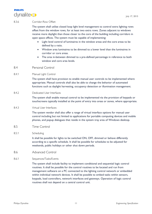#### <span id="page-10-0"></span>8.3.6 Corridor-Row Offset

**PHILIPS** 

dynalite **or** 

The system shall utilize closed loop light level management to control extra lighting rows offset from the window rows, for at least two extra rows. Zones adjacent to windows receive more daylight than those closer to the core of the building including corridors in open space offices. The system must be capable of implementing:

- Light level control of luminaires in the window areas and the core areas to be defined by a ratio.
- Window area luminaires to be dimmed to a lower level than the luminaires in corridor or core areas.
- The area in-between dimmed to a pre-defined percentage in reference to both window and core area levels.
- <span id="page-10-1"></span>8.4 Personal Control
- <span id="page-10-2"></span>8.4.1 Manual Light Control

The system shall have provision to enable manual user controls to be implemented where appropriate. Manual controls shall also be able to change the behavior of automated functions such as daylight harvesting, occupancy detection or illumination management.

<span id="page-10-3"></span>8.4.2 Dedicated User Interfaces

The system shall enable manual control to be implemented via the provision of keypads or touchscreens typically installed at the point of entry into areas or zones, where appropriate.

#### <span id="page-10-4"></span>8.4.3 Virtual User Interfaces

The system vendor shall also offer a range of virtual interface options for manual user control including but not limited to applications for portable computing devices and mobile phones, and popup dialogues that reside in the system tray area of Windows desktop.

- <span id="page-10-5"></span>8.5 Time Control
- <span id="page-10-6"></span>8.5.1 Scheduling

It shall be possible for lights to be switched ON, OFF, dimmed or behave differently according to a specific schedule. It shall be possible for schedules to be adjusted for weekends, public holidays or other shut down periods.

- <span id="page-10-7"></span>8.6 Advanced Control
- <span id="page-10-8"></span>8.6.1 Sequences/Tasks/Events

The system shall include facility to implement conditional and sequential logic control routines. It shall be possible for the control routines to be located and run from management software on a PC connected to the lighting control network or embedded within individual network devices. It shall be possible to embed tasks within sensors, keypads, load controllers, network interfaces and gateways. Operation of logic control routines shall not depend on a central control unit.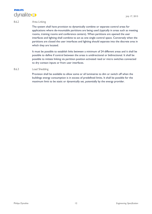## **PHILIPS** dynalite<sub>co</sub>

#### <span id="page-11-0"></span>8.6.2 Area Linking

The system shall have provision to dynamically combine or separate control areas for applications where de-mountable partitions are being used (typically in areas such as meeting rooms, training rooms and conference centers). When partitions are opened the user interfaces and lighting shall combine to act as one single control space. Conversely when the partitions are closed the user interfaces and lighting should separate into the discrete area in which they are located.

It must be possible to establish links between a minimum of 24 different areas and it shall be possible to define if control between the areas is unidirectional or bidirectional. It shall be possible to initiate linking via partition position activated reed or micro switches connected to dry contact inputs or from user interfaces.

#### <span id="page-11-1"></span>8.6.3 Load Shedding

Provision shall be available to allow some or all luminaires to dim or switch off when the buildings energy consumption is in excess of predefined limits. It shall be possible for the maximum limit to be static or dynamically set, potentially by the energy provider.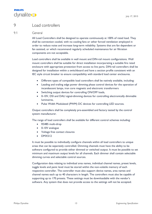#### July 17, 2015

## **PHILIPS** dynalite **or**

## <span id="page-12-0"></span>9 Load controllers

#### <span id="page-12-1"></span>9.1 General

All Load Controllers shall be designed to operate continuously at 100% of rated load. They shall be convection cooled, with no cooling fans or other forced ventilation employed in order to reduce noise and increase long-term reliability. Systems that are fan dependent or fan assisted, or which recommend regularly scheduled maintenance for air filtration components are not acceptable.

Load controllers shall be available in wall mount and DIN-rail mount configurations. Wall mount controllers shall be suitable for direct installation incorporating a suitable fire rated enclosure with appropriate protection from access to live parts. DIN-rail controllers shall be designed for installation within a switchboard and have a section profile consistent with an IEC style circuit breaker to ensure compatibility with standard load center enclosures.

- Different types of compatible load controllers shall be natively available, including:
- Leading and trailing edge power dimming phase control devices for the operation of incandescent lamps, iron core magnetic and electronic transformers
- Switching output devices for controlling ON/OFF loads,
- 0-10V, DSI and DALI signal-dimming devices for controlling electronically dimmable luminaires,
- Pulse Width Modulated (PWM) DC devices for controlling LED sources.

Output controllers shall be completely pre-assembled and factory tested by the control system manufacturer.

The range of load controllers shall be available for different control schemes including:

- RS485 multi-drop
- 0-10V analogue
- Voltage free contact closures
- DMX512

It must be possible to individually configure channels within all load controllers to unique areas that can be separately controlled. Dimming channels must have the ability to be software configured to provide either dimmed or switched output. It must be possible to set minimum and maximum output levels for all channels. Each dimmer shall contain selectable dimming curves and selectable control sources.

Configuration data relating to individual area names, individual channel names, preset levels, toggle levels and panic level must be stored within the non-volatile memory of each respective controller. The controller must also support device names, area names and channel names each up to 40 characters in length. The controllers must also be capable of supporting up to 170 presets. These settings must be downloadable with the vendor's software. Any system that does not provide access to the settings will not be accepted.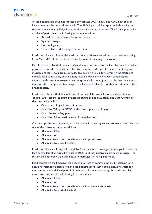## **PHILIPS** dynalite<sub>cn</sub>

All load controllers shall incorporate a dry contact 'AUX' input. The AUX input shall be located next to the network terminals. The AUX input shall incorporate de-bouncing and requires a minimum of 200  $\mu$  S contact closure for a valid activation. The AUX input shall be capable of performing the following minimum functions:

- Keypad Disabled / Panic / Program Disable
- Sign on Message
- Execute logic macro
- Defined Network Message transmission

Load controllers shall be available with various individual channel output capacities, ranging from 2A to 20A. Up to 12 channels shall be available in a single enclosure.

Each load controller shall have a configurable start up delay that defines the time from when power is restored to a load controller, to when the load controller sends out its sign-on message and starts to initialize outputs. This setting is useful for staggering the startup of multiple load controllers, or preventing multiple load controllers from cluttering the network with sign-on messages when the system is first energized, thus leaving the network clear for other peripherals to configure the load controllers before they revert back to their previous state.

Load Controllers with dual serial control ports shall be available, for the duplication of 'control LAN' cabling, to guard against the failure of one data cable. The Load Controller shall be configurable to:

- Obey control signals from either port
- Obey the Main port DMX512 signal and upon loss of signal
- Obey the secondary port
- Obey the highest level received from either port.

On start-up after loss of power, it shall be possible to configure load controllers to revert to one of the following output conditions:

- All circuits full on
- All circuits off
- All circuit to previous condition prior to power loss
- All circuits to a specific scene

Load controllers shall respond to a global 'panic' network message. Once in panic mode, the load controllers shall turn all circuits to 100% until they receive an 'un-panic' message. The system shall not obey any other network messages whilst in panic mode.

Load controllers shall monitor the network for loss of communications by listening for a network watchdog message. When a load controller has not heard a network watchdog message for a user-defined period of time (loss of communications), the load controller must revert to one of the following load conditions:

- All circuits full on
- All circuits off
- All circuit to previous condition prior to communication loss
- All circuits to a specific preset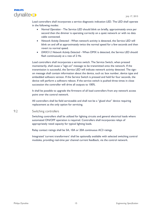

Load controllers shall incorporate a service diagnostic indication LED. The LED shall operate in the following modes:

- *Normal Operation* The Service LED should blink on briefly, approximately once per second then the dimmer is operating correctly on a quiet network or with no data cable connected.
- *Network Activity Detected* When network activity is detected, the Service LED will blink on and off at approximately twice the normal speed for a few seconds and then revert to normal speed.
- *DMX512 Network Activity Detected* When DMX is detected, the Service LED should flash continuously at a rate of 2 Hz.

Load controllers shall incorporate a service switch. The Service Switch, when pressed momentarily, shall cause a "sign-on" message to be transmitted onto the network. If the transmission is successful, the Service LED will indicate network activity detected. The signon message shall contain information about the device, such as: box number, device type and embedded software version. If the Service Switch is pressed and held for four seconds, the device will perform a software reboot. If the service switch is pushed three times in close succession the controller will drive all outputs to 100%.

It shall be possible to upgrade the firmware of all load controllers from any network access point over the control network.

All controllers shall be field serviceable and shall not be a "glued shut" device requiring replacement as the only option for servicing.

<span id="page-14-0"></span>9.2 Switching controllers

Switching controllers shall be utilized for lighting circuits and general electrical loads where automated ON/OFF operation is required. Controllers shall incorporate relays of appropriately rated capacity for typical lighting loads.

Relay contact ratings shall be 5A, 10A or 20A continuous AC3 ratings.

Integrated 'current transformers' shall be optionally available with selected switching control modules, providing real-time per channel current feedback, via the control network.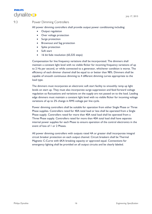July 17, 2015

## **PHILIPS** dynalite **or**

#### <span id="page-15-0"></span>9.3 Power Dimming Controllers

All power dimming controllers shall provide output power conditioning including:

- Output regulation
- Over voltage protection
- Surge protection
- **Brownout and Sag protection**
- Spike protection
- Soft start
- 16 bit fade resolution (65,535 steps)

Compensation for line frequency variations shall be incorporated. The dimmers shall maintain a constant light level with no visible flicker for incoming frequency variations of up to 2 Hz per second, or while connected to a generator, whichever condition is worse. The efficiency of each dimmer channel shall be equal to or better than 98%. Dimmers shall be capable of smooth continuous dimming to 4 different dimming curves appropriate to the load type.

The dimmers must incorporate an electronic soft start facility to smoothly ramp up light levels on start up. They must also incorporate surge suppression and feed forward voltage regulation so fluctuations and variations on the supply are not passed on to the load. Leading edge dimmers must maintain a constant light level with no visible flicker for incoming voltage variations of up to 2% change in RMS voltage per line cycle.

Power dimming controllers shall be suitable for operation from either Single Phase or Three Phase supplies. Controllers rated for 40A total load or less shall be operated from a Single Phase supply. Controllers rated for more than 40A total load shall be operated from a Three Phase supply. Controllers rated for more than 40A total load shall have separate internal power supplies for each Phase to ensure operation of the control electronics in the event of loss of 1 or 2 Phases.

All power dimming controllers with outputs rated 4A or greater shall incorporate integral circuit breaker protection on each output channel. Circuit breakers shall be Thermal Magnetic C-Curve with 6KA breaking capacity or approved equal. Connections for emergency lighting shall be provided on all output circuits and be clearly labeled.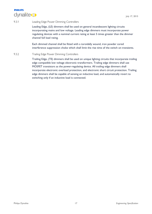## **PHILIPS** dynalite<sub>co</sub>

#### <span id="page-16-0"></span>9.3.1 Leading Edge Power Dimming Controllers

Leading Edge, (LE) dimmers shall be used on general incandescent lighting circuits incorporating mains and low voltage. Leading edge dimmers must incorporate power regulating devices with a nominal current rating at least 5 times greater than the dimmer channel full load rating.

Each dimmed channel shall be fitted with a toroidally wound, iron powder cored interference suppression choke which shall limit the rise time of the switch on transients.

#### <span id="page-16-1"></span>9.3.2 Trailing Edge Power Dimming Controllers

Trailing Edge, (TE) dimmers shall be used on unique lighting circuits that incorporate trailing edge compatible low voltage electronic transformers. Trailing edge dimmers shall use MOSFET transistors as the power-regulating device. All trailing edge dimmers shall incorporate electronic overload protection, and electronic short circuit protection. Trailing edge dimmers shall be capable of sensing an inductive load, and automatically revert to switching only if an inductive load is connected.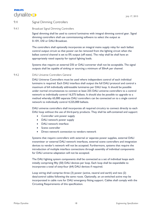## **PHILIPS** dynalite<sub>cn</sub>

#### <span id="page-17-0"></span>9.4 **Signal Dimming Controllers**

#### <span id="page-17-1"></span>9.4.1 Broadcast Signal Dimming Controllers

Signal dimming shall be used to control luminaires with integral dimming control gear. Signal dimming controllers shall use commissioning software to select the output as 0-10V, DSI or DALI Broadcast.

The controllers shall optionally incorporate an integral mains supply relay for each ballast control output circuit so that power can be removed from the lighting circuit when the ballast control channel is set to 0% output (off state). The relay shall be shall have an appropriately rated capacity for typical lighting loads.

Systems that require an external DSI or DALI converter shall not be acceptable. The signal outputs shall be capable of sinking or sourcing a minimum of 50mA per channel.

#### <span id="page-17-2"></span>9.4.2 DALI Universe Controllers General

DALI Universe Controllers must be used where independent control of each individual luminaire is required. Each DALI interface shall output the full DALI protocol and control a maximum of 64 individually addressable luminaires per DALI loop. It should be possible under normal circumstances to connect at least 255 DALI universe controllers to a control network to individually control 16,575 ballasts. It should also be possible to upgrade to a method whereby 65,000 separate DALI controllers can be connected on to a single control network to individually control 4,225,000 ballasts.

DALI universe controllers shall incorporate all required circuitry to connect directly to each DALI loop without the use of third-party products. They shall be self-contained and support:

- Controller unit power supply
- DALI network power supply
- DALI network interface
- Scene controller
- Direct network connection to vendors network

Systems that require controllers with external or separate power supplies, external DALI transmitter or external DALI network interfaces, external scene controllers and integration devices to vendor's network will not be accepted. Furthermore, systems that require the introduction of multiple interface connections through assembly of individual components for DALI universe adaptation will not be accepted.

The DALI lighting system components shall be connected as a set of individual loops each initially comprising fifty (50) DALI devices per loop. Each loop shall be expandable to incorporate a total of sixty-four (64) DALI devices if required.

Loop wiring shall comprise three (3) power (active, neutral and earth) and two (2) data/control cables following the same route. Optionally, an un-switched active may be incorporated in cable runs for DALI emergency fitting support. Cables shall comply with the Circuiting Requirements of this specification.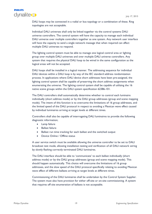## **PHILIPS** dynalite<sub>cn</sub>

DALI loops may be connected in a radial or bus topology or a combination of these. Ring topologies are not acceptable.

Individual DALI universes shall only be linked together via the control systems DALI universe controllers. The control system will have the capacity to manage each individual DALI universe over multiple controllers together as one system. Any network user interface will have the capacity to send a single network massage that when required can affect multiple DALI universes to respond.

The lighting control system must be able to manage one logical control area or lighting group over multiple DALI universes and over multiple DALI universe controllers. Any system that requires the physical DALI loop to be wired in the same configuration as the logical areas will not be accepted.

DALI loops shall be installed in a logical manner. The addressing sequence for individual DALI devices within a DALI loop is by way of the IEC standard address randomization process. In applications where DALI device short addresses have been pre-assigned, the lighting control system shall be capable of preserving the short address assignments when enumerating the universe. The lighting control system shall be capable of utilizing the 16 native scene groups within the DALI system specification 62386-101.

The DALI controllers shall automatically determine whether to control each luminaire individually (short address mode) or by the DALI group addresses (group and scene mapping mode). The intent of this function is to overcome the limitations of 16 group addresses, and the limited speed of the DALI protocol in respect to avoiding a Mexican wave effect caused by individual luminaires arriving at target levels at different times.

Controllers shall also be capable of interrogating DALI luminaires to provide the following diagnostic information;

- Lamp failure
- Ballast failure
- Ballast run time tracking for each ballast and the switched output
- Device Online / Offline status

A user service switch must be available allowing the universe controller to be set to DALI broadcast test mode, allowing installation testing and verification of all DALI network wiring by slowly flashing correctly terminated DALI luminaires.

The DALI interface should be able to 'communicate' to each ballast individually (short address mode) or by the DALI group addresses (group and scene mapping mode). This should happen automatically. This choice will overcome the limitations of 16 group addresses, and the slow speed of the DALI protocol specifically relating to avoiding Mexican wave effect of different ballasts arriving at target levels at different times.

Commissioning of the DALI luminaires shall be undertaken by the Control System Supplier. The system must also have provision for either off-site or on-site commissioning. A system that requires off site enumeration of ballasts is not acceptable.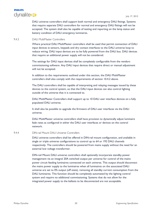

DALI universe controllers shall support both normal and emergency DALI fittings. Systems that require separate DALI controllers for normal and emergency DALI fittings will not be accepted. The system shall also be capable of testing and reporting on the lamp status and battery condition of DALI emergency luminaires.

#### <span id="page-19-0"></span>9.4.3 DALI MultiMaster Controllers

Where practical DALI MultiMaster controllers shall be used that permit connection of DALI input devices ie sensors, keypads and dry contact interfaces to the DALI universe loop to reduce wiring. DALI input devices are to be fully powered from the DALI bus. DALI devices that require an additional power supply will not be considered.

The settings for DALI input devices shall be completely configurable from the vendors commissioning software. Any DALI input devices that require direct or manual adjustment will not be accepted.

In addition to the requirements outlined under this section, the DALI MultiMaster controllers shall also comply with the requirements of section 10.4.2 above.

The DALI controllers shall be capable of interpreting and relaying messages issued by these devices to the control system, so that the DALI input devices can also control lighting outside of the universe that it is connected to.

DALI MultiMaster Controllers shall support up to 10 DALI user interface devices on a fully populated DALI universe.

It shall also be possible to upgrade the firmware of DALI user interfaces via the DALI universe.

DALI MultiMaster universe controllers shall have provision to dynamically adjust luminaire fade rates as configured in either the DALI user interfaces or devices on the control network.

#### <span id="page-19-1"></span>9.4.4 DIN-rail Mount DALI Universe Controllers

DALI universe controllers shall be offered in DIN-rail mount configuration, and available in single or triple universe configurations to control up to 64 or 192 DALI channels respectively. The controllers should be powered from mains supply without the need for an external low voltage transformer.

DIN-rail Mount DALI universe controllers shall optionally incorporate standby power management via an integral 20A switched output per universe for control of the mains power circuit feeding luminaires connected on each universe. This output should disconnect the mains power supply to the luminaires when all luminaires on the associated DALI universe are set to 0% output (off state), removing all standby current consumption from the DALI luminaires. This function should be completely automated by the lighting control system and require no additional commissioning. Systems that do not allow for the integrated power supply to the ballasts to be disconnected are not acceptable.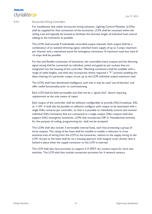#### <span id="page-20-0"></span>9.4.5 **Structured Wiring Controllers**

For installations that utilize structured wiring solutions, Lighting Control Modules, (LCMs) shall be supplied for final connection of the luminaires. LCMs shall be mounted within the ceiling void and typically be located to facilitate the shortest length of individual load control cabling to the luminaires as possible.

The LCMs shall provide 9 individually controlled output channels. Each output shall be a combination of an isolated dimming signal, switched mains supply of up to 5 amps maximum per channel, and a maintained active for emergency luminaires. A maximum total box load of 16 amps shall be possible.

For fast and flexible connection of luminaires, the controlled mains outputs and the dimming signal wiring shall be connected via individual, poled and gated six pin sockets that are integrated into the housing of the controller. Matching connectors shall be available with a range of cable lengths, and shall also incorporate where required a "T" junction enabling the daisy chaining of a particular output circuit up to the LCM individual output maximum load.

The LCMs shall have distributed intelligence such that it may be used 'out-of-the-box' and offer useful functionality prior to commissioning.

Each LCM shall be field serviceable and shall not be a "glued shut" device requiring replacement as the only means of repair.

Each output of the controller shall be software configurable to provide DALI broadcast, DSI, or 1-10V. It shall also be possible to software configure each output to be associated with a single DALI universe per controller, so that it is possible to individually control and monitor individual DALI luminaires that are connected to a single output. DALI outputs shall also support DALI emergency luminaires. LCMs that incorporate DIP or Hexadecimal switches for the purpose of coding, programming etc. shall not be accepted.

The LCMs shall also include 3 serviceable internal fuses, each fuse protecting a group of three outputs. The rating of the fuses shall be suitable to enable a reduction in cross sectional area of wiring from the LCM to the luminaries, relative to the supply wiring to the LCM. Access to the fuses shall be via a housing aperture with integral cover shutter that is locked in place when the supply connector to the LCM is inserted.

The LCM shall also have provision to support  $4 \times$  SPDT dry contact inputs for local user switches. The LCM shall also include connection provision for 4 network sensors.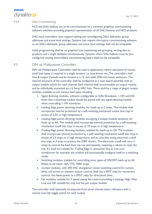#### <span id="page-21-0"></span>9.4.6 DALI Commissioning

NCS and DALI ballasts are to be commissioned via a common graphical commissioning software interface providing graphical representation of all DALI fixtures and NCS products.

DALI load controllers must support setting and reconfiguring DALI addresses, group addresses and scene level settings. Systems that require third-party commissioning software to set DALI addresses, group addresses and scene level settings shall not be acceptable.

Initial programming shall be via graphical icon positioning and grouping, writing data to products and a single database simultaneously. Systems where DALI ballasts must be preconfigured causing intermediate commissioning layers shall not be acceptable.

#### <span id="page-21-1"></span>9.5 **DIN rail Multipurpose Controllers**

DIN rail Multipurpose Controllers shall be used in applications where operation of various small load types is required in a single location, i.e. boardroom etc. The controllers shall have 8 output channels and be housed in a 12 unit width DIN-rail mount enclosure. The internal structure of the controller shall be configured as a main board assembly with an output module socket for each channel. Each channel shall accommodate an output module and be individually protected via a 6.3amp HRC fuse. There shall be a range of plug-in output modules available to suit various load types including:

- Signal dimming modules, software configurable to DALI Broadcast, 1-10V and DSI. Note that a switching module should be paired with the signal-dimming module when controlling 1-10V luminaires.
- Leading Edge power dimming modules, for loads up to 2 amps. The module shall incorporate internal protection by a self-resetting mechanical cutout that trips in excess of 2.5A or high temperature.
- Leading Edge power dimming modules occupying 2 output module locations, for loads up to 4A. The module shall incorporate internal protection by a self-resetting mechanical cutoff that trips in excess of 10 amps or in high temperature.
- Trailing Edge power dimming modules, suitable for loads up to 2A. The modules shall incorporate internal protection by a self-resetting mechanical cutoff that trips in excess of 2.5 amps or in high temperature, and an ultra-fast acting electronic cutoff that trips at 3 amps to protect the IGBT drivers. The electronic cutoff will retry 3 times to control the load then trip out permanently, requiring a reboot to reset the trip. If a load not suitable for Trailing Edge is connected, like an iron core transformer for example, the module will automatically configure itself to a switching mode.
- Switching modules, suitable for controlling most types of ON/OFF loads up to 4A. Relays to be rated: 16A, TV5, 100A surge.
- Curtain modules, with 240 VAC changeover motor-switching control for curtain, blind, roll screen or elevator system control. Shall use a SPST relay for movement control, this feeds power to a SPDT relay for directional drive.
- Fan modules, suitable for 3 speed sweep fan control providing 4 settings: High, Med, Low and Off, suitable for only one fan per output module.

The controller shall optionally incorporate front panel channel status indicators with a manual override toggle switch for each output.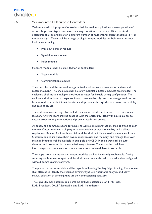#### <span id="page-22-0"></span>9.6 Wall-mounted Multipurpose Controllers

Wall-mounted Multipurpose Controllers shall be used in applications where operation of various larger load types is required in a single location i.e. hotel etc. Different sized enclosures shall be available for a different number of multichannel output modules (2, 4 or 6 module bays). There shall be a range of plug-in output modules available to suit various load types including:

- Phase-cut dimmer module
- Signal dimmer module
- Relay module

Standard modules shall be provided for all controllers:

- Supply module
- Communications module

The controller shall be encased in a galvanized steel enclosure, suitable for surface and recess mounting. The enclosure shall be safely mountable before modules are installed. The enclosure shall include multiple knockouts to cater for flexible wiring configuration. The enclosure shall include two separate front covers so that high and low voltage sections can be accessed separately. Circuit breakers shall protrude through the front cover for visibility and ease of access.

The enclosure module bays shall include mechanical interlocks to ensure correct module location. A wiring loom shall be supplied with the enclosure, fitted with plastic collars to ensure proper wiring orientation and prevent installation errors.

All supply and communications terminals, as well as circuit protection, shall be fitted to each module. Output modules shall plug in to any available output module bay and shall not require modification for installation. All modules shall be fully encased in a metal enclosure. Output modules shall have their own microprocessor and memory, and manage their own settings. Modules shall be available in dual pole or RCBO. Module type shall be autodetected and presented in the commissioning software. The controller shall have interchangeable communication modules to accommodate different protocols.

The supply, communications and output modules shall be individually replaceable. During servicing, replacement output modules shall be automatically rediscovered and reconfigured without commissioning software.

The phase cut output module shall be capable of Leading/Trailing Edge dimming. The module shall attempt to identify the required dimming type using harmonic analysis, and allow manual selection of dimming type via the commissioning software.

The signal dimmer output module shall be software-selectable for 1-10V, DSI, DALI Broadcast, DALI Addressable and DALI MultiMaster.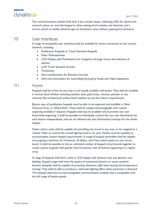

The communications module shall have 4 dry contact inputs, indicating LEDs for device and network status, an override keypad to allow testing of all modules and channels, and a service switch to enable network sign-on and device reset without opening the enclosure.

## <span id="page-23-0"></span>10 User Interfaces

A range of compatible user interfaces shall be available for direct connection to the control network, including:

- Pushbutton Keypads or Touch Sensitive Keypads
- Fader Potentiometer
- LCD Display with Pushbuttons for navigation through menus and selection of options
- **LCD Touch Sensitive Screens**
- **Timeclocks**
- Infra-red Receivers for Remote Controls
- Infra-red transmitters for controlling third-party Audio and Video equipment

#### <span id="page-23-1"></span>10.1 Keypads

Keypads shall be of the correct size to suit locally available wall boxes. They shall be available in various fascia finishes including stainless steel, gold, brass, chrome, painted, or any common flat architectural surface finish medium to suit the client's requirements.

Button caps of pushbutton keypads must be able to be engraved and available in Silver, Charcoal Grey, or White finish. These shall be readily interchangeable with custom engraving available if required. Keypads shall also be available which provide rear text illuminated engraving. It shall be possible to individually control the rear text illumination for each button independently, and set via software the text illumination intensity for the whole keypad.

Faders where used, shall be capable of controlling any circuit in any area, or be assigned as a 'master' fader to control the overall lighting levels in an area. Facility must be available to accommodate custom keypad requirements. A range of keypad assemblies shall be capable of accepting a minimum of 16 buttons, 22 faders, and 4 key switch inputs on one circuit board. It shall be possible to link an unlimited number of keypad circuit boards together to create custom keypads with greater than16 buttons, with all buttons appearing in a regular array.

A range of keypads shall have a built in LCD display with dynamic text and dynamic icon labeling. Keypad range shall have the option of mechanical buttons or touch sensitive buttons. Keypads shall be capable of proximity detection, light level sensing and temperature sensing. They shall be able to produce a wall-wash lighting effect when proximity is detected. The keypads shall have an interchangeable communications module that is compatible with the full range of button panels.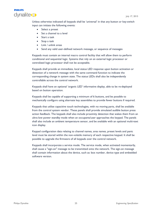## **PHILIPS** dynalite<sub>cn</sub>

Unless otherwise indicated all keypads shall be 'universal' in that any button or key-switch input can initiate the following events:

- Select a preset
- Set a channel to a level
- Start a task
- Stop a task
- Link / unlink areas
- Send any valid user-defined network message, or sequence of messages

Keypads must contain an internal macro control facility that will allow them to perform conditional and sequential logic. Systems that rely on an external logic processor or centralized logic processor shall not be acceptable.

Keypads shall provide an immediate, local status LED response upon button activation or detection of a network message with the same command function to indicate the corresponding change in system state. The status LEDs shall also be independently controllable across the control network.

Keypads shall have an optional 'organic LED' informative display, able to be re-deployed based on button operation.

Keypads shall be capable of supporting a minimum of 6 buttons, and be possible to mechanically configure using alternate key assemblies to provide fewer buttons if required.

Keypads that utilize capacitive touch technologies, with no moving parts, shall be available from the control system vendor. These panels shall provide simulated audible button press action feedback. The keypads shall also include proximity detection that wakes them from an ultra-low power standby mode when an occupants/user approaches the keypad. The panels shall also include an ambient temperature sensor, and be available with an optional multi-text icon display.

Keypad configuration data relating to channel names, area names, preset levels and panic level must be stored within the non-volatile memory of each respective keypad. It shall be possible to upgrade the firmware of all keypads over the control network.

Keypads shall incorporate a service mode. The service mode, when activated momentarily, shall cause a "sign-on" message to be transmitted onto the network. The sign-on message shall contain information about the device, such as: box number, device type and embedded software version.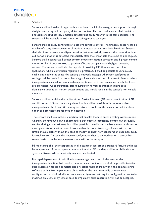#### <span id="page-25-0"></span>10.2 Sensors

Sensors shall be installed in appropriate locations to minimize energy consumption, through daylight harvesting and occupancy detection control. The universal sensors shall contain a photoelectric (PE) sensor, a motion detector and an IR receiver in the same package. The sensor shall be available in wall mount or ceiling mount packages.

Sensors shall be easily configurable to achieve daylight control. The universal sensor shall be capable of acting like a conventional motion detector, with a user-definable timer. Sensors shall also incorporate an intelligent function that automatically extends the no-motion timeout period if motion is detected immediately after the sensor sets the status to unoccupied. Sensors shall incorporate 8 preset control modes for motion detection and 8 preset control modes for illuminance control, to provide effective occupancy and daylight harvesting control. The sensor should also be capable of providing PID illuminance control for applications where continuous regulation is preferred. It shall be possible to dynamically enable and disable the sensor by sending a network message. All sensor configuration settings shall be made from commissioning software via the control network. Sensors which incorporate manual adjustments such as potentiometers to set luminance thresholds levels are prohibited. All configuration data required for normal operation including area, illuminance thresholds, motion detect actions etc. should reside in the sensor's non-volatile memory.

Sensors shall be available that utilize either Passive Infra-red (PIR) or a combination of PIR and Ultrasonic (US) for occupancy detection. It shall be possible with the sensor that incorporates both PIR and US sensing detectors to configure the sensor so that it utilizes either or both detectors for motion detection.

The sensors shall also include a function that enables them to enter a testing witness mode, whereby the timeout delay is shortened so that effective occupancy control can be quickly verified during commissioning. It shall be possible to enable and disable witness mode across a complete site or section thereof, from within the commissioning software with a few simple mouse clicks without the need to modify or enter new configuration data individually for each sensor. Systems that require configuration data to be modified on a sensor-bysensor basis to implement a witness mode will not be accepted.

PE monitoring shall be incorporated in all occupancy sensors as a standard feature and must be independent of the occupancy detection function. PE trending shall be available via the system software, where sensitivity can also be adjusted.

For rapid deployment of basic illuminance management control, the sensors shall incorporate a function that enables them to be auto calibrated. It shall be possible to initiate auto-calibration across a complete site or section thereof, from within the commissioning software with a few simple mouse clicks without the need to modify or enter new configuration data individually for each sensor. Systems that require configuration data to be modified on a sensor-by-sensor basis to implement auto-calibration, will not be accepted.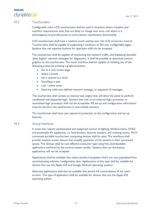#### <span id="page-26-0"></span>10.3 Touchscreens

Configurable color LCD touchscreens shall be used in locations where complex user interface requirements exist that are likely to change over time, and where it is advantageous to provide access to some system maintenance functionality.

LCD touchscreens shall have a resistive touch overlay over the LCD screen for control. Touchscreens shall be capable of supporting a minimum of 255 user configurable pages. Systems that use separate buttons for operation shall not be accepted.

The touchscreen shall be capable of monitoring the network traffic, and displaying decoded 'plain English' network messages for diagnostics. It shall be possible to download custom graphics to the touchscreen. The touch interface shall be capable of initiating any of the following events by pressing a graphical button:

- Go to a new screen page
- Select a preset
- Set a channel to a level
- Start/Stop a task
- Link / unlink areas
- Send any valid user-defined network message, or sequence of messages

The touchscreen shall contain an internal task engine that will allow the panel to perform conditional and sequential logic. Systems that rely on an external logic processor or centralized logic processor shall not be acceptable. All set-up and configuration information must be stored in the touchscreen in non-volatile memory.

The touchscreen shall have user password protection to the configuration and set-up features.

#### <span id="page-26-1"></span>10.4 Virtual Interfaces

In areas that require sophisticated and integrated control of lighting, blinds/curtains, HVAC and potentially AV equipment, i.e. boardrooms, lectures theaters, and meeting rooms, Wi-Fi connected portable touchscreen computing devices shall be used. The interfaces shall provide intuitive screen layouts that simplify operation of the systems in their associated spaces. The devices shall be cost-effective consumer type using free downloadable applications authored by the control system vendor. Systems that use third-party applications will not be accepted.

Applications shall be available that utilize standard templates which are auto populated from commissioning software configuration data. Applications of this type shall be available for devices that use the Apple iOS and Google Android operating systems.

Alternate applications shall also be available that permit full customization of the users screens. This type of application shall be available for devices that use the Apple iOS operating system.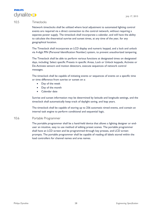#### <span id="page-27-0"></span>10.5 Timeclocks

Network timeclocks shall be utilized where local adjustment to automated lighting control events are required via a direct connection to the control network, without requiring a separate power supply. The timeclock shall incorporate a calendar, and will have the ability to calculate the theoretical sunrise and sunset times, at any time of the year, for any geographical location.

The Timeclock shall incorporate an LCD display and numeric keypad, and a lock and unlock via 4-digit PIN (Personal Identification Number) system, to prevent unauthorized tampering.

The Timeclock shall be able to perform various functions at designated times on designated days, including: Select specific Presets in specific Areas, Lock or Unlock keypads, Activate or De-Activate sensors and motion detectors, execute sequences of network control messages.

The timeclock shall be capable of initiating events or sequences of events on a specific time or time difference from sunrise or sunset on a:

- Day of the week
- Day of the month
- Calendar date

Sunrise and sunset information may be determined by latitude and longitude settings, and the timeclock shall automatically keep track of daylight saving, and leap years.

The timeclock shall be capable of storing up to 256 automatic timed events, and contain an internal task engine to perform conditional and sequential logic.

#### <span id="page-27-1"></span>10.6 Portable Programmer

The portable programmer shall be a hand-held device that allows a lighting designer or enduser an intuitive, easy to use method of editing preset scenes. The portable programmer shall have an LCD screen and be programmed through key presses, and LCD screen prompts. The portable programmer shall be capable of reading all labels stored within the load controllers for channel names and area names.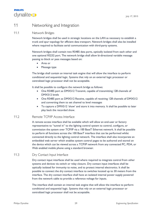## <span id="page-28-0"></span>11 Networking and Integration

#### <span id="page-28-1"></span>11.1 Network Bridges

Network bridges shall be used in strategic locations on the LAN as necessary to establish a trunk and spur topology for efficient data transport. Network bridges shall also be installed where required to facilitate serial communication with third-party systems.

Network bridges shall contain two RS485 data ports, optically isolated from each other and one optional RS232 port. The network bridge shall allow bi-directional variable message passing to block or pass messages based on:

- Area or
- Message type

The bridge shall contain an internal task engine that will allow the interface to perform conditional and sequential logic. Systems that rely on an external logic processor or centralized logic processor shall not be acceptable.

It shall be possible to configure the network bridge as follows:

- One RS485 port as DMX512 Transmit, capable of transmitting 128 channels of DMX512 levels
- One RS485 port as DMX512 Receive, capable of receiving 128 channels of DMX512 and converting them to set channel to level messages
- To capture a DMX512 'show' and store it into memory. It shall be possible to later play back the recorded show.

#### <span id="page-28-2"></span>11.2 Remote TCP/IP Access Interface

A remote access interface shall be available which will allow an end-user or factory representative to "tunnel in" to the lighting control system to control, configure, or commission the system over TCP/IP via a 100 BaseT Ethernet network. It shall be possible to perform all functions across the 100 BaseT interface that can be performed whilst connected directly to the lighting control network. The interface shall also incorporate an embedded web server which enables system control pages to be authored and stored on the device which can be viewed across a TCP/IP network from any connected PC, PDA, or Web enabled mobile phone using a standard browser.

#### <span id="page-28-3"></span>11.3 Dry Contact Input Interface

Dry contact input interfaces shall be used where required to integrate control from other systems and devices via switch or relay closure. Dry contact input interfaces shall be optically isolated for immunity to noise, and to protect internal electronics. It shall be possible to connect the dry contact interface to switches located up to 30 meters from the interface. The dry contact interface shall have an isolated internal power supply powered from the network cable to provide a reference voltage for inputs.

The interface shall contain an internal task engine that will allow the interface to perform conditional and sequential logic. Systems that rely on an external logic processor or centralized logic processor shall not be acceptable.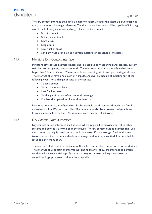

## **PHILIPS** dynalite<sub>cn</sub>

The dry contact interface shall have a jumper to select whether the internal power supply is used, or an external voltage reference. The dry contact interface shall be capable of initiating any of the following events on a change of state of the contact:

- Select a preset
- Set a channel to a level
- Start a task
- Stop a task
- Link / unlink areas
- Send any valid user-defined network message, or sequence of messages

#### <span id="page-29-0"></span>11.4 Miniature Dry Contact Interface

Miniature dry contact interface devices shall be used to connect third-party sensors, custom switches, to the lighting control network. The miniature dry contact interface shall be no larger than 20mm x 50mm x 20mm suitable for mounting within compact wiring enclosures. The interface shall have a minimum of 4 inputs, and shall be capable of initiating any of the following events on a change of state of the contact:

- Select a preset
- Set a channel to a level
- Link / unlink areas
- Send any valid user-defined network message
- Emulate the operation of a motion detector

Miniature dry contact interfaces shall also be available which connect directly to a DALI universe on a MultiMaster controller. The device must also be software configurable and firmware updatable over the DALI universe from the control network.

#### <span id="page-29-1"></span>11.5 Dry Contact Output Interface

Dry contact output interfaces shall be used where required to provide control to other systems and devices via switch or relay closure. The dry contact output interface shall use electro-mechanically isolated outputs, and have zero off-state leakage. Devices that use transistors or other devices with off-state leakage shall not be permitted. Outputs shall be rated to a minimum of 5A.

The interface shall contain a minimum of 8 x SPDT outputs for connection to other devices. The interface shall contain an internal task engine that will allow the interface to perform conditional and sequential logic. Systems that rely on an external logic processor or centralized logic processor shall not be acceptable.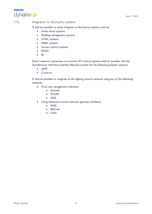## **PHILIPS** dynalitecn

#### <span id="page-30-0"></span>11.6 Integration to third-party systems

It shall be possible to easily integrate to third-party systems such as:

- Audio-visual systems
- Building management systems
- HVAC systems
- PABX systems
- Access control systems
- RS232
- IR

Direct network connection to common AV control systems shall be possible, and the manufacturer shall have interface libraries written for the following popular systems:

- AMX
- Crestron

It shall be possible to integrate to the lighting control network using any of the following methods:

- From site management software:
	- o ActiveX
	- o DCOM
	- o DDE
- Using dedicated control network gateway interfaces
	- o KNX
	- o BACnet
	- o LON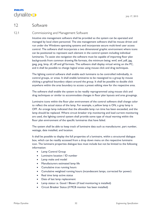

## <span id="page-31-0"></span>12 Software

<span id="page-31-1"></span>12.1 Commissioning and Management Software

Intuitive site management software shall be provided so the system can be operated and managed by local client personnel. The site management software shall be mouse driven and run under the Windows operating systems and incorporate secure multi-level user access control. The software shall incorporate a two dimensional graphic environment where icons can be positioned to represent each element in the control system including individual luminaries. To assist site navigation the software must be capable of importing floor plan backgrounds from common drawing file formats, the minimum being; wmf, emf, pdf, jpg, jpeg, png, bmp, tif, tiff and gif formats. The software shall display virtual wiring on the PC, and it shall be possible to change logical areas using mouse click and drag techniques.

The lighting control software shall enable each luminaire to be controlled individually, in control groups, or areas. It shall enable luminaires to be reassigned to a group by mouse clicking a graphical boundary object around the group. It shall be possible to double click anywhere within the area boundary to access a preset editing view for the respective area.

The software shall enable the system to be readily reprogrammed using mouse click and drag techniques or similar to accommodate changes in floor plan layouts and area groupings.

Luminaire icons within the floor plan environment of the control software shall change color to reflect the actual status of the lamp. For example, a yellow lamp is ON, a grey lamp is OFF. An orange lamp indicated that the allowable lamp run time has been exceeded, and the lamp should be replaced. Where circuit breaker trip monitoring and load current monitoring are used, the lighting control system shall provide some type of visual warning within the floor plan environment of the specific luminaires that have failed.

The system shall be able to keep track of luminaire data such as manufacturer, part number, wattage, date installed, and location.

It shall be possible to display the full properties of a luminaire, within a structured dialogue box, which can be readily accessed from a drop down menu on the respective luminaire icon. The luminaire properties dialogue box must include but not be limited to the following information:

- Lamp Control Group
- Luminaire location / ID number
- Lamp make and model
- Manufacturers estimated lamp life
- Cumulative true running hours
- Cumulative weighted running hours (incandescent lamps, corrected for power)
- Real time lamp active status
- Date of last lamp replacement
- Lamp status i.e. Good / Blown (if load monitoring is installed)
- Circuit Breaker Status (if MCB monitor has been installed)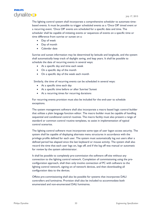## **PHILIPS** dynalite<sub>cn</sub>

The lighting control system shall incorporate a comprehensive scheduler to automate timebased events. It must be possible to trigger scheduled events as a 'Once Off' timed event or a recurring event. 'Once Off' events are scheduled for a specific date and time. The scheduler shall be capable of initiating events or sequences of events on a specific time or time difference from sunrise or sunset on a:

- Day of week
- Day of month
- Calendar date

Sunrise and sunset information may be determined by latitude and longitude, and the system shall automatically keep track of daylight saving, and leap years. It shall be possible to schedule the date of recurring events in several ways:

- At a specific day and time each week
- On a specific day of the month
- On a specific day of the week each month

Similarly, the time of recurring events can be scheduled in several ways:

- At a specific time each day
- At a specific time before or after Sunrise/ Sunset
- At a recurring times for recurring durations

For recurring events provision must also be included for the end-user to schedule exceptions.

The system management software shall also incorporate a macro based logic control builder that utilizes a plain language function editor. The macro builder must be capable of handling sequential and conditional control routines. The macro facility must also present a range of standard or common control routine templates, to assist in implementation of typical control scenarios.

The lighting control software must incorporate some type of user logon access security. The system shall be capable of displaying alternate menu structures in accordance with the privilege profile defined for each user. The system must automatically log out users after a defined period has elapsed since the last keyboard or mouse activity. The system shall also record the time that each user logs on, logs off, and if the log off was manual or automatic for review by the system administrator.

It shall be possible to completely pre-commission the software off-site without any connection to the lighting control network. Completion of commissioning using the preconfiguration approach, shall then only involve connection of PC with software to the lighting control network, signing on of network devices, and then downloading all configuration data to the devices.

Offsite pre-commissioning shall also be possible for systems that incorporate DALI controllers and luminaires. Provision shall also be included to accommodate both enumerated and non-enumerated DALI luminaires.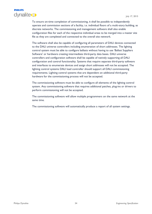To ensure on-time completion of commissioning, it shall be possible to independently operate and commission sections of a facility, i.e. individual floors of a multi-story building, as discrete networks. The commissioning and management software shall also enable configuration files for each of the respective individual areas to be merged into a master site file as they are completed and connected to the overall site network.

The software shall also be capable of configuring all parameters of DALI devices connected to the DALI universe controllers including enumeration of short addresses. The lighting control system must be able to configure ballasts without having to use 'Ballast Suppliers Software' or hardware creating intermediate third-party data bases. DALI universe controllers and configuration software shall be capable of natively supporting all DALI configuration and control functionality. Systems that require separate third-party software and interfaces to enumerate devices and assign short addresses will not be accepted. The lighting control systems DALI load controller should support all DALI commissioning requirements. Lighting control systems that are dependent on additional third-party hardware for the commissioning process will not be accepted.

The commissioning software must be able to configure all elements of the lighting control system. Any commissioning software that requires additional patches, plug-ins or drivers to perform commissioning will not be accepted.

The commissioning software will allow multiple programmers on the same network at the same time.

The commissioning software will automatically produce a report of all system settings.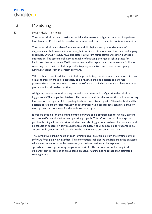

## <span id="page-34-0"></span>13 Monitoring

#### <span id="page-34-1"></span>13.1.1 System Health Monitoring

The system shall be able to assign essential and non-essential lighting on a circuit-by-circuit basis from the PC. It shall be possible to monitor and control the entire system in real-time.

The system shall be capable of monitoring and displaying a comprehensive range of diagnostic and fault information including but not limited to circuit run time data, re-lamping schedules, ON/OFF status, MCB trip status, DALI luminaires status and other diagnostic information. The system shall also be capable of initiating emergency lighting tests for luminaires that incorporate DALI control gear and incorporate a comprehensive facility for reporting test results. It shall be possible to program, initiate and monitor emergency luminaire testing from the system software.

When a failure event is detected, it shall be possible to generate a report and direct it to an e-mail address or group of addresses, or a printer. It shall be possible to generate preventative maintenance reports from the software that indicate lamps that have operated past a specified allowable run time.

All lighting control network activity, as well as run time and configuration data shall be logged to a SQL compatible database. The end-user shall be able to use the built-in reporting functions or third-party SQL reporting tools to run custom reports. Alternatively, it shall be possible to export the data manually or automatically to a spreadsheet, text file, e-mail, or word processing document for the end-user to analyze.

It shall be possible for the lighting control software to be programmed to run daily system tests to verify that all devices are operating properly. This information shall be displayed graphically using a floor plan view interface, and also logged to a database. The database shall be capable of generating daily maintenance schedules. It shall be possible for reports to be automatically generated and e-mailed to the maintenance personnel each day.

The cumulative running hours of each luminaire shall be available from the lighting control software floor plan view interface. This information shall also be available from the database, where custom reports can be generated, or the information can be exported to a spreadsheet, word processing program, or text file. The information will be required to efficiently plan re-lamping of areas based on actual running hours, rather than estimated running hours.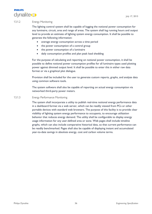#### <span id="page-35-0"></span>13.1.2 Energy Monitoring

The lighting control system shall be capable of logging the notional power consumption for any luminaire, circuit, area and range of areas. The system shall log running hours and output level to provide an estimate of lighting system energy consumption. It shall be possible to generate the following information:

- average energy consumption across a time period
- the power consumption of a control group
- the power consumption of a luminaire
- daily consumption profiles and plan peak load shedding

For the purpose of calculating and reporting on notional power consumption, it shall be possible to define notional power consumption profiles for all luminaire types used plotting power against dimmed output level. It shall be possible to enter this in either raw data format or via a graphical plot dialogue.

Provision shall be included for the user to generate custom reports, graphs, and analyze data using common software tools.

The system software shall also be capable of reporting on actual energy consumption via networked third-party power meters.

#### <span id="page-35-1"></span>13.1.3 Energy Performance Monitoring

The system shall incorporate a utility to publish real-time notional energy performance data in a dashboard format via a web server, which can be readily viewed from PCs or other portable devices with standard web browsers. The purpose of this facility is to provide clear visibility of lighting system energy performance to occupants, to encourage utilization behavior that reduces energy demand. The utility shall be configurable to display energy usage information for any user-defined area or zone. Web pages shall include timeline graphs, which can also include comparative historical data, so that current performance can be readily benchmarked. Pages shall also be capable of displaying instant and accumulated year-to-date savings in absolute energy, cost and carbon volume terms.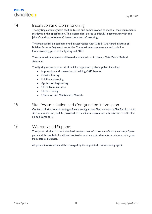## <span id="page-36-0"></span>14 **Installation and Commissioning**

The lighting control system shall be tested and commissioned to meet all the requirements set down in this specification. The system shall be set up initially in accordance with the [client's and/or consultant's] instructions and left working.

The project shall be commissioned in accordance with CIBSE, 'Chartered Institute of Building Services Engineers' code M – Commissioning management and code L – Commissioning process for lighting and NCS.

The commissioning agent shall have documented and in place, a 'Safe Work Method' statement

The lighting control system shall be fully supported by the supplier, including:

- Importation and conversion of building CAD layouts
- On-site Testing
- Full Commissioning
- Application Engineering
- Client Demonstration
- Client Training
- Operation and Maintenance Manuals

## <span id="page-36-1"></span>15 Site Documentation and Configuration Information

Copies of all site commissioning software configuration files, and source files for all as-built site documentation, shall be provided to the client/end-user on flash drive or CD-ROM at no additional cost.

## <span id="page-36-2"></span>16 Warranty and Support

The system shall also have a standard two-year manufacturer's ex-factory warranty. Spare parts shall be available for all load controllers and user interfaces for a minimum of 7 years from date of purchase.

All product warranties shall be managed by the appointed commissioning agent.